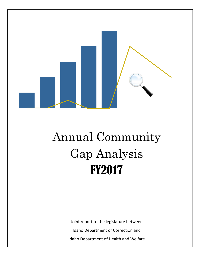

# Annual Community Gap Analysis FY2017

Joint report to the legislature between Idaho Department of Correction and Idaho Department of Health and Welfare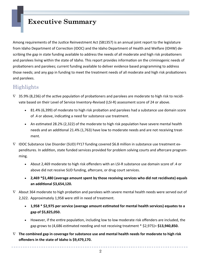# **Executive Summary**

Among requirements of the Justice Reinvestment Act (SB1357) is an annual joint report to the legislature from Idaho Department of Correction (IDOC) and the Idaho Department of Health and Welfare (IDHW) describing the gap in state funding available to address the needs of all moderate and high risk probationers and parolees living within the state of Idaho. This report provides information on the criminogenic needs of probationers and parolees; current funding available to deliver evidence based programming to address those needs; and any gap in funding to meet the treatment needs of all moderate and high risk probationers and parolees.

### Highlights

- $\nabla$  35.9% (8,236) of the active population of probationers and parolees are moderate to high risk to recidivate based on their Level of Service Inventory-Revised (LSI-R) assessment score of 24 or above.
	- 81.4% (6,399) of moderate to high risk probation and parolees had a substance use domain score of .4 or above, indicating a need for substance use treatment.
	- An estimated 28.2% (2,322) of the moderate to high risk population have severe mental health needs and an additional 21.4% (1,763) have low to moderate needs and are not receiving treatment.
- $\nabla$  IDOC Substance Use Disorder (SUD) FY17 funding covered \$6.8 million in substance use treatment expenditures. In addition, state funded services provided for problem solving courts and aftercare programming.
	- About 2,469 moderate to high risk offenders with an LSI-R substance use domain score of .4 or above did not receive SUD funding, aftercare, or drug court services.
	- **2,469 \*\$1,480 (average amount spent by those receiving services who did not recidivate) equals an addiƟonal \$3,654,120.**
- $\nabla$  About 364 moderate to high probation and parolees with severe mental health needs were served out of 2,322. Approximately 1,958 were still in need of treatment.
	- **1,958 \* \$2,975 per service (average amount esƟmated for mental health services) equates to a gap of \$5,825,050.**
	- However, if the entire population, including low to low moderate risk offenders are included, the gap grows to (4,686 esƟmated needing and not receiving treatment \* \$2,975)= **\$13,940,850.**
- **The combined gap in coverage for substance use and mental health needs for moderate to high risk offenders in the state of Idaho is \$9,479,170.**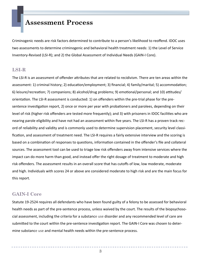### **Assessment Process**

Criminogenic needs are risk factors determined to contribute to a person's likelihood to reoffend. IDOC uses two assessments to determine criminogenic and behavioral health treatment needs: 1) the Level of Service Inventory-Revised (LSI-R); and 2) the Global Assessment of Individual Needs (GAIN-I Core).

#### **LSI-R**

The LSI-R is an assessment of offender attributes that are related to recidivism. There are ten areas within the assessment: 1) criminal history; 2) education/employment; 3) financial; 4) family/marital; 5) accommodation; 6) leisure/recreation; 7) companions; 8) alcohol/drug problems; 9) emotional/personal; and 10) attitudes/ orientaƟon. The LSI-R assessment is conducted: 1) on offenders within the pre-trial phase for the presentence investigation report, 2) once or more per year with probationers and parolees, depending on their level of risk (higher risk offenders are tested more frequently); and 3) with prisoners in IDOC facilities who are nearing parole eligibility and have not had an assessment within five years. The LSI-R has a proven track record of reliability and validity and is commonly used to determine supervision placement, security level classification, and assessment of treatment need. The LSI-R requires a fairly extensive interview and the scoring is based on a combination of responses to questions, information contained in the offender's file and collateral sources. The assessment tool can be used to triage low risk offenders away from intensive services where the impact can do more harm than good, and instead offer the right dosage of treatment to moderate and high risk offenders. The assessment results in an overall score that has cutoffs of low, low moderate, moderate and high. Individuals with scores 24 or above are considered moderate to high risk and are the main focus for this report.

#### **GAIN-I Core**

Statute 19-2524 requires all defendants who have been found guilty of a felony to be assessed for behavioral health needs as part of the pre-sentence process, unless waived by the court. The results of the biopsychosocial assessment, including the criteria for a substance use disorder and any recommended level of care are submitted to the court within the pre-sentence investigation report. The GAIN-I Core was chosen to determine substance use and mental health needs within the pre-sentence process.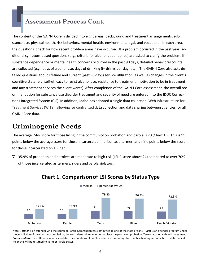### **Assessment Process Cont.**

The content of the GAIN-I Core is divided into eight areas: background and treatment arrangements, substance use, physical health, risk behaviors, mental health, environment, legal, and vocational. In each area, the questions check for how recent problem areas have occurred. If a problem occurred in the past year, additional symptom-based questions (e.g., criteria for alcohol dependence) are asked to clarify the problem. If substance dependence or mental health concerns occurred in the past 90 days, detailed behavioral counts are collected (e.g., days of alcohol use, days of drinking 5+ drinks per day, etc.). The GAIN-I Core also asks detailed questions about lifetime and current (past 90 days) service utilization, as well as changes in the client's cognitive state (e.g. self-efficacy to resist alcohol use, resistance to treatment, motivation to be in treatment, and any treatment services the client wants). After completion of the GAIN-I Core assessment, the overall recommendation for substance use disorder treatment and severity of need are entered into the IDOC Corrections Integrated System (CIS). In addition, Idaho has adopted a single data collection, Web Infrastructure for Treatment Services (WITS), allowing for centralized data collection and data sharing between agencies for all GAIN-I Core data.

# **Criminogenic Needs**

The average LSI-R score for those living in the community on probation and parole is 20 (Chart 1.). This is 11 points below the average score for those incarcerated in prison as a termer, and nine points below the score for those incarcerated on a Rider.

 $\nabla$  35.9% of probation and parolees are moderate to high risk (LSI-R score above 24) compared to over 70% of those incarcerated as termers, riders and parole violators.



### **Chart 1. Comparisonof LSI Scores by Status Type**

Note: *Termer* is an offender who the courts or Parole Commission has committed to one of the state prisons. Rider is an offender program under the jurisdiction of the court. At completion, the court determines whether to place the person on probation, Term status or withhold judgement. Parole violator is an offender who has violated the conditions of parole and is in a temporary status until a hearing is conducted to determine if he or she will be returned to Term or Parole status.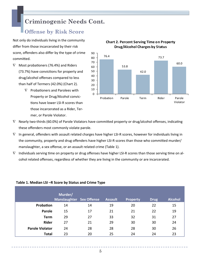# **Criminogenic Needs Cont.**

### **Offense by Risk Score**

Not only do individuals living in the community differ from those incarcerated by their risk score, offenders also differ by the type of crime commiƩed.

- $\nabla$  Most probationers (76.4%) and Riders (73.7%) have convictions for property and drug/alcohol offenses compared to less than half of Termers (42.0%) (Chart 2).
	- $\nabla$  Probationers and Parolees with Property or Drug/Alcohol convictions have lower LSI-R scores than those incarcerated as a Rider, Termer, or Parole Violator.



#### **Chart 2. Percent Serving Time on Property Drug/Alcohol Charges by S tatus**

- $\nabla$  Nearly two-thirds (60.0%) of Parole Violators have committed property or drug/alcohol offenses, indicating these offenders most commonly violate parole.
- $\nabla$  In general, offenders with assault related charges have higher LSI-R scores, however for individuals living in the community, property and drug offenders have higher LSI-R scores than those who committed murder/ manslaughter, a sex offense, or an assault related crime (Table 1).
- $\nabla$  Individuals serving time on property or drug offenses have higher LSI-R scores than those serving time on alcohol related offenses, regardless of whether they are living in the community or are incarcerated.

|                        | Murder/<br><b>Manslaughter Sex Offense</b> |    | <b>Assault</b> | <b>Property</b> | <b>Drug</b> | <b>Alcohol</b> |
|------------------------|--------------------------------------------|----|----------------|-----------------|-------------|----------------|
| Probation              | 14                                         | 14 | 19             | 20              | 22          | 15             |
| Parole                 | 15                                         | 17 | 21             | 21              | 22          | 19             |
| <b>Term</b>            | 29                                         | 27 | 33             | 32              | 31          | 27             |
| <b>Rider</b>           | 27                                         | 21 | 29             | 30              | 30          | 24             |
| <b>Parole Violator</b> | 24                                         | 28 | 28             | 28              | 30          | 26             |
| <b>Total</b>           | 23                                         | 20 | 25             | 24              | 24          | 23             |

#### **Table 1. Median LSI –R Score by Status and Crime Type**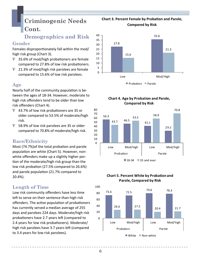# **Criminogenic Needs Cont.**

# **Demographics and Risk**

#### **Gender**

Females disproportionately fall within the mod/ high risk group (Chart 3).

- $\nabla$  35.6% of mod/high probationers are female compared to 27.8% of low risk probationers.
- $\nabla$  21.3% of mod/high risk parolees are female compared to 15.6% of low risk parolees.

### **Age**

Nearly half of the community population is between the ages of 18-34. However, moderate to high risk offenders tend to be older than low risk offenders (Chart 4).

- $\nabla$  43.7% of low risk probationers are 35 or older compared to 53.5% of moderate/high risk.
- $\nabla$  58.9% of low risk parolees are 35 or older compared to 70.8% of moderate/high risk.

### **Race/Ethnicity**

Most (74.7%) of the total probation and parole population are white (Chart 5). However, nonwhite offenders make up a slightly higher portion of the moderate/high risk group than the low risk probation (27.5% compared to 26.6%) and parole population (21.7% compared to 20.4%).

### **Length of Time**

Low risk community offenders have less time left to serve on their sentence than high risk offenders. The active population of probationers has currently served a median average of 255 days and parolees 224 days. Moderate/high risk probationers have 2.7 years left (compared to 2.4 years for low risk probationers). Moderate/ high risk parolees have 3.7 years left (compared to 3.4 years for low risk parolees).

#### **Chart 3. Percent Female by ProbaƟon and Parole, Compared by Risk**









#### **Chart 5. Percent White by Probation and Parole, Compared by Risk**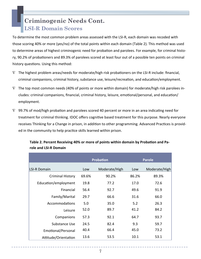# **Criminogenic Needs Cont. LSI-R Domain Scores**

To determine the most common problem areas assessed with the LSI-R, each domain was recoded with those scoring 40% or more (yes/no) of the total points within each domain (Table 2). This method was used to determine areas of highest criminogenic need for probation and parolees. For example, for criminal history, 90.2% of probationers and 89.3% of parolees scored at least four out of a possible ten points on criminal history questions. Using this method:

- $\nabla$  The highest problem areas/needs for moderate/high risk probationers on the LSI-R include: financial, criminal companions, criminal history, substance use, leisure/recreation, and education/employment.
- $\nabla$  The top most common needs (40% of points or more within domain) for moderate/high risk parolees includes: criminal companions, financial, criminal history, leisure, emotional/personal, and education/ employment.
- $\nabla$  99.7% of mod/high probation and parolees scored 40 percent or more in an area indicating need for treatment for criminal thinking. IDOC offers cognitive based treatment for this purpose. Nearly everyone receives Thinking for a Change in prison, in addition to other programming. Advanced Practices is provided in the community to help practice skills learned within prison.

|                         |       | <b>Probation</b> |       | <b>Parole</b> |
|-------------------------|-------|------------------|-------|---------------|
| <b>LSI-R Domain</b>     | Low   | Moderate/High    | Low   | Moderate/High |
| <b>Criminal History</b> | 69.6% | 90.2%            | 86.2% | 89.3%         |
| Education/employment    | 19.8  | 77.2             | 17.0  | 72.6          |
| Financial               | 56.4  | 92.7             | 49.6  | 91.9          |
| Family/Marital          | 29.7  | 66.6             | 31.6  | 66.0          |
| Accommodations          | 5.0   | 35.0             | 5.2   | 26.3          |
| Leisure                 | 52.0  | 89.7             | 41.2  | 84.2          |
| Companions              | 57.3  | 92.1             | 64.7  | 93.7          |
| Substance Use           | 24.5  | 82.4             | 9.3   | 59.7          |
| Emotional/Personal      | 40.4  | 66.4             | 45.0  | 73.2          |
| Attitude/Orientation    | 13.6  | 53.5             | 10.1  | 53.1          |

#### **Table 2. Percent Receiving 40% or more of points within domain by Probation and Parole and LSI-R Domain**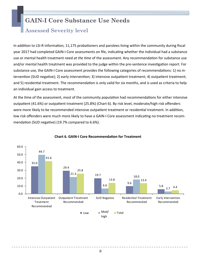# **GAIN-I Core Substance Use Needs**

### **Assessed Severity level**

In addition to LSI-R information, 11,175 probationers and parolees living within the community during fiscal year 2017 had completed GAIN-I Core assessments on file, indicating whether the individual had a substance use or mental health treatment need *at the time* of the assessment. Any recommendation for substance use and/or mental health treatment was provided to the judge within the pre-sentence investigation report. For substance use, the GAIN-I Core assessment provides the following categories of recommendations: 1) no intervention (SUD negative); 2) early intervention; 3) intensive outpatient treatment; 4) outpatient treatment; and 5) residential treatment. The recommendation is only valid for six months, and is used as criteria to help an individual gain access to treatment.

At the time of the assessment, most of the community population had recommendations for either intensive outpatient (41.6%) or outpatient treatment (25.8%) (Chart 6). By risk level, moderate/high risk offenders were more likely to be recommended intensive outpatient treatment or residential treatment. In addition, low risk offenders were much more likely to have a GAIN-I Core assessment indicating no treatment recommendation (SUD negative) (19.7% compared to 6.6%).



#### **Chart 6. GAIN-I Core RecommendaƟon for Treatment**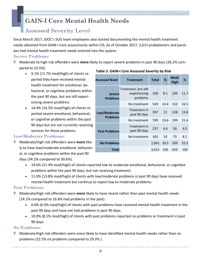# **GAIN-I Core Mental Health Needs**

# **Assessed Severity Level**

Since March 2017, IDOC's SUD team employees also started documenting the mental health treatment needs obtained from GAIN-I Core assessments within CIS. As of October 2017, 3,615 probationers and parolees had mental health treatment needs entered into the system.

#### **Severe Problems:**

- Moderate to high risk offenders were **more** likely to report severe problems in past 90 days (28.2% compared to 23.5%). **Table 3. GAIN-I Core Assessed Severity by Risk**
	- 9.1% (11.7% mod/high) of clients reported they have received mental health treatment for emotional, behavioral, or cognitive problems within the past 90 days, but are still experiencing severe problems.
	- 14.4% (16.5% mod/high) of clients reported severe emotional, behavioral, or cognitive problems within the past 90 days but are not currently receiving services for those problems.

#### **Assessed Need Treatment Total % Mod/ High % Severe Problems** Treatment, but still experiencing problems 328 9.1 109 11.7 No treatment 520 14.4 153 16.5 **Low/Moderate Problems**  Treatment in past 90 days 397 11 128 13.8 No treatment 709 19.6 199 21.4 **Past Problems** Treatment in past 90 days 237 6.6 56 6.0 No treatment 363 10 75 8.1 **No Problems** 1,061 29.3 209 22.5 **Total** 3,615 100 929 100

#### **Low/Moderate Problems:**

- Moderate/high risk offenders were **more** likely to have low/moderate emotional, behavioral, or cognitive problems within the past 90 days (34.2% compared to 30.6%).
	- 19.6% (21.4% mod/high) of clients reported low to moderate emotional, behavioral, or cognitive problems within the past 90 days, but not receiving treatment.
	- 11.0% (13.8% mod/high) of clients with low/moderate problems in past 90 days have received mental health treatment but continue to report low to moderate problems.

#### **Past Problems:**

- Moderate/high risk offenders were **more** likely to have recent rather than past mental health needs (14.1% compared to 16.6% had problems in the past).
	- 6.6% (6.0% mod/high) of clients with past problems have received mental health treatment in the past 90 days and have not had problems in past 90 days.
	- 10.0% (8.1% mod/high) of clients with past problems reported no problems or treatment in past 90 days.

#### **No Problems:**

 $\nabla$  Moderate/high risk offenders were more likely to have identified mental health needs rather than no problems (22.5% no problems compared to 29.3% ).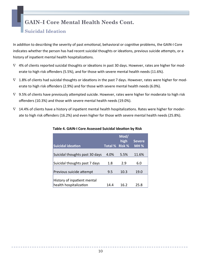# **GAIN–I Core Mental Health Needs Cont.**

### **Suicidal Ideation**

In addition to describing the severity of past emotional, behavioral or cognitive problems, the GAIN-I Core indicates whether the person has had recent suicidal thoughts or ideations, previous suicide attempts, or a history of inpatient mental health hospitalizations.

- $\nabla$  4% of clients reported suicidal thoughts or ideations in past 30 days. However, rates are higher for moderate to high risk offenders (5.5%), and for those with severe mental health needs (11.6%).
- $\nabla$  1.8% of clients had suicidal thoughts or ideations in the past 7 days. However, rates were higher for moderate to high risk offenders (2.9%) and for those with severe mental health needs (6.0%).
- $\nabla$  9.5% of clients have previously attempted suicide. However, rates were higher for moderate to high risk offenders (10.3%) and those with severe mental health needs (19.0%).
- $\nabla$  14.4% of clients have a history of inpatient mental health hospitalizations. Rates were higher for moderate to high risk offenders (16.2%) and even higher for those with severe mental health needs (25.8%).

| <b>Suicidal ideation</b>                              | Total % Risk % | Mod/<br>high | <b>Severe</b><br><b>MH%</b> |
|-------------------------------------------------------|----------------|--------------|-----------------------------|
| Suicidal thoughts past 30 days                        | 4.0%           | 5.5%         | 11.6%                       |
| Suicidal thoughts past 7 days                         | 1.8            | 2.9          | 6.0                         |
| Previous suicide attempt                              | 9.5            | 10.3         | 19.0                        |
| History of inpatient mental<br>health hospitalization | 14.4           | 16.2         | 25.8                        |

#### **Table 4. GAIN-I Core Assessed Suicidal IdeaƟon by Risk**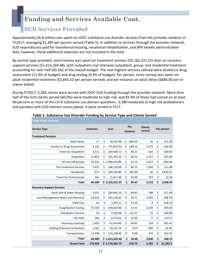### **SUD Services Provided**

Approximately \$6.8 million was spent on IDOC substance use disorder services from the provider network in FY2017, averaging \$1,283 per person served (Table 5). In addition to services through the provider network, SUD expenditures paid for transitional housing, vocational rehabilitation, and BPA Health administration fees; however, these additional expenses are not included in the total.

By service type provided, more money was spent on treatment services (\$5,165,221.25) than on recovery support services (\$1,613,269.48), with outpatient and intensive outpatient, group, and residential treatment accounting for over half (60.3%) of the overall budget. The next highest services utilized were alcohol or drug assessment (11.4% of budget) and drug testing (9.4% of budget). Per person, more money was spent on adult residential treatment (\$3,845.52 per person served), and per instance on adult detox (\$686.00 per instance billed).

During FY2017, 5,282 clients were served with IDOC SUD funding through the provider network. More than half of the SUD clients served (60.0%) were moderate to high risk, and 81.4% of these had scored on at least 40 percent or more of the LSI-R substance use domain questions. 2,580 moderate to high risk probationers and parolees with SUD domain scores above .4 were served in FY17.

| <b>Fotal Paid Amount</b>               |                  |                  |                 |         |                          |                 |  |
|----------------------------------------|------------------|------------------|-----------------|---------|--------------------------|-----------------|--|
| <b>Service Type</b>                    | <b>Instances</b> | Sum              | Per<br>instance |         | <b>Clients</b><br>served | Per person      |  |
| <b>Treatment Services</b>              |                  |                  |                 |         |                          |                 |  |
| <b>Adult Detox</b>                     | 27               | \$<br>18,522.00  | \$              | 686.00  | 26                       | \$<br>712.38    |  |
| Alcohol or Drug Assessment             | 4,102            | \$<br>775,837.50 | \$              | 189.14  | 3,275                    | \$<br>236.90    |  |
| <b>Intensive Outpatient</b>            | 3,511            | \$<br>169,408.11 | \$              | 48.25   | 528                      | \$<br>320.85    |  |
| Outpatient                             | 15,829           | \$<br>765,391.46 | \$              | 48.35   | 2,537                    | \$<br>301.69    |  |
| OP and IOP groups                      | 55,331           | \$2,906,070.80   | \$              | 52.52   | 3,421                    | \$<br>849.48    |  |
| <b>Pre-Treatment Services</b>          | 5,457            | \$<br>268,120.68 | \$              | 49.13   | 1,956                    | \$<br>137.08    |  |
| Residential                            | 871              | \$<br>249,958.80 | \$              | 286.98  | 65                       | \$<br>3,845.52  |  |
| <b>Travel for Professionals</b>        | 361              | \$<br>11,911.90  | \$              | 33.00   | 359                      | \$<br>33.18     |  |
| <b>Total</b>                           | 85,489           | \$5,165,221.25   | \$              | 60.42   | 5,123                    | \$<br>1,008.24  |  |
| <b>Recovery Support Services</b>       |                  |                  |                 |         |                          |                 |  |
| Adult Safe & Sober Housing             | 2,931            | \$<br>204,665.50 | \$              | 69.83   | 388                      | \$<br>527.49    |  |
| Case Management (Basic and Intensive)  | 18,026           | \$<br>535,526.85 | \$              | 29.71   | 2,565                    | \$<br>208.78    |  |
| Child Care                             | 63               | \$<br>3,345.12   | \$              | 53.10   | 8                        | \$<br>418.14    |  |
| Drug/Alcohol Testing                   | 47,205           | \$<br>639,819.00 | \$              | 13.55   | 3,109                    | \$<br>205.80    |  |
| <b>Interpreter Services</b>            | 45               | \$<br>5,520.00   | \$              | 122.67  | 23                       | \$<br>240.00    |  |
| Life Skills                            | 364              | \$<br>8,721.62   | \$              | 23.96   | 77                       | \$<br>113.27    |  |
| <b>Recovery Coaching</b>               | 1,403            | \$<br>67,414.80  | \$              | 48.05   | 254                      | \$<br>265.41    |  |
| <b>Staffing (Planned Facilitation)</b> | 2,505            | \$<br>24,147.19  | \$              | 9.64    | 896                      | \$<br>26.95     |  |
| Transportation                         | 12,438           | \$<br>124,109.40 | \$              | 9.98    | 472                      | \$<br>262.94    |  |
| <b>Total</b>                           | 84,980           | \$1,613,269.48   | \$              | 18.98   | 3,600                    | \$<br>448.13    |  |
| <b>Grand Total</b>                     | 170,469          | \$6,778,490.73   |                 | \$39.76 | 5,282                    | \$<br>\$1,283.3 |  |

#### **Table 5. Substance Use Disorder Funding by Service Type and Clients Served**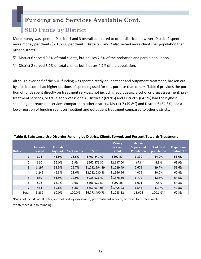### **SUD Funds by District**

More money was spent in Districts 4 and 3 overall compared to other districts; however, District 2 spent more money per client (\$2,137.00 per client). Districts 6 and 2 also served more clients per population than other districts.

- $\nabla$  District 6 served 9.6% of total clients, but houses 7.5% of the probation and parole population.
- $\nabla$  District 2 served 5.9% of total clients, but houses 4.9% of the population.

Although over half of the SUD funding was spent directly on inpatient and outpatient treatment, broken out by district, some had higher portions of spending used for this purpose than others. Table 6 provides the portion of funds spent directly on treatment services, not including adult detox, alcohol or drug assessment, pretreatment services, or travel for professionals. District 2 (69.9%) and District 5 (64.5%) had the highest spending on treatment services compared to other districts. District 7 (49.8%) and District 6 (54.3%) had a lower portion of funding spent on inpatient and outpatient treatment compared to other districts.

| <b>District</b> |                | # clients<br>served | $%$ mod/<br>high risk | % of clients | <b>Sum</b>     | <b>Money</b><br>per client<br>spent | <b>Active</b><br><b>Supervised</b><br><b>Population</b> | % of total<br>population | % spent on<br>treatment* |
|-----------------|----------------|---------------------|-----------------------|--------------|----------------|-------------------------------------|---------------------------------------------------------|--------------------------|--------------------------|
|                 | $\mathbf{1}$   | 874                 | 41.9%                 | 16.5%        | \$701,447.49   | \$802.57                            | 1,899                                                   | 14.0%                    | 55.0%                    |
|                 | 2              | 310                 | 56.0%                 | 5.9%         | \$662,471.37   | \$2,137.00                          | 673                                                     | 4.9%                     | 69.9%                    |
|                 | 3              | 1,197               | 51.5%                 | 22.7%        | \$1,232,294.89 | \$1,029.49                          | 2,675                                                   | 19.7%                    | 59.6%                    |
|                 | 4              | 1,249               | 46.3%                 | 23.6%        | \$2,082,030.53 | \$1,666.96                          | 4,079                                                   | 30.0%                    | 62.4%                    |
|                 | 5              | 680                 | 51.9%                 | 12.9%        | \$935,921.41   | \$1,376.36                          | 1,712                                                   | 12.6%                    | 64.5%                    |
|                 | 6              | 508                 | 63.7%                 | 9.6%         | \$506,922.59   | \$997.88                            | 1,021                                                   | 7.5%                     | 54.3%                    |
|                 | $\overline{7}$ | 464                 | 59.6%                 | 8.8%         | \$651,934.05   | \$1,405.03                          | 1,545                                                   | 11.4%                    | 49.8%                    |
|                 | Total          | 5.282               | 60.0%                 | 100.0%       | \$6.778.490.73 | \$1.283.32                          | 13,604                                                  | 100.1%**                 | 60.3%                    |

#### **Table 6. Substance Use Disorder Funding by District, Clients Served, and Percent Towards Treatment**

\*Does not include adult detox, alcohol or drug assessment, pre-treatment services, or travel for professionals.

\*\*difference due to rounding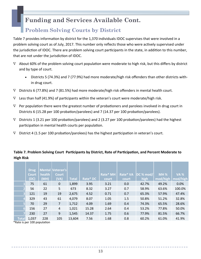### **Problem Solving Courts by District**

Table 7 provides information by district for the 1,370 individuals IDOC supervises that were involved in a problem solving court as of July, 2017. This number only reflects those who were actively supervised under the jurisdiction of IDOC. There are problem solving court participants in the state, in addition to this number, that are not under the jurisdiction of IDOC.

- $\nabla$  About 60% of the problem solving court population were moderate to high risk, but this differs by district and by type of court.
	- Districts 5 (74.3%) and 7 (77.9%) had more moderate/high risk offenders than other districts within drug court.
- $\nabla$  Districts 6 (77.8%) and 7 (81.5%) had more moderate/high risk offenders in mental health court.
- $\nabla$  Less than half (41.9%) of participants within the veteran's court were moderate/high risk.
- $\nabla$  Per population there were the greatest number of probationers and parolees involved in drug court in Districts 6 (15.28 per 100 probation/parolees) and 7 (14.37 per 100 probation/parolees).
- $\nabla$  Districts 1 (3.21 per 100 probation/parolees) and 2 (3.27 per 100 probation/parolees) had the highest participation in mental health courts per population.
- $\nabla$  District 4 (1.5 per 100 probation/parolees) has the highest participation in veteran's court.

#### **Drug Court (DC) Mental health (MH) Veteran's Court (VA) Total Rate\* DC Rate\* MH court DC % mod/ high MH % mod/high VA % mod/high 1** 75 61 0 1,899 3.95 3.21 42.7% 49.2% 0.0% **2** 56 22 5 673 8.32 3.27 58.9% 63.6% 100.0% **3** 121 19 19 2,675 4.52 0.71 65.3% 57.9% 47.4% **4** 329 43 61 4,079 8.07 1.05 50.8% 51.2% 32.8% **5** 70 29 7 1,712 4.09 1.69 74.3% 65.5% 28.6% **6** 156 27 4 1,021 15.28 2.64 53.2% 77.8% 50.0% **7** 230 27 9 1,545 14.37 1.75 77.9% 81.5% 66.7% **Total** 1,037 228 105 13,604 7.56 1.68 60.2% 61.0% 41.9% **Rate\* VA court** 0.0 0.7 0.7 1.5 0.4 0.4 0.6 0.8

#### Table 7. Problem Solving Court Participants by District, Rate of Participation, and Percent Moderate to **High Risk**

\*Rate is per 100 populaƟon

. .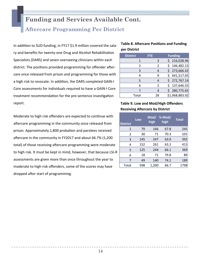### **Aftercare Programming Per District**

In addition to SUD funding, in FY17 \$1.9 million covered the salary and benefits for twenty-one Drug and Alcohol Rehabilitation Specialists (DARS) and seven overseeing clinicians within each district. The positions provided programming for offender aftercare once released from prison and programming for those with a high risk to revocate. In addition, the DARS completed GAIN-I Core assessments for individuals required to have a GAIN-I Core treatment recommendation for the pre-sentence investigation report.

Moderate to high risk offenders are expected to continue with aftercare programming in the community once released from prison. Approximately 1,800 probation and parolees received aftercare in the community in FY2017 and about 66.7% (1,200 total) of those receiving aftercare programming were moderate to high risk. It must be kept in mind, however, that because LSI-R assessments are given more than once throughout the year to moderate to high risk offenders, some of the scores may have dropped after start of programming.

#### **Table 8. Aftercare Positions and Funding per District**

| <b>District</b> | FTE            | <b>Funding</b> |
|-----------------|----------------|----------------|
|                 | 3              | \$216,028.96   |
| $\mathcal{P}$   | $\mathfrak{p}$ | \$146,482.15   |
| ς               |                | \$273,666.42   |
| 4               | q              | \$641,517.05   |
| 5               |                | \$272,767.14   |
| 6               | $\mathcal{P}$  | \$137,646.55   |
|                 |                | \$280,775.65   |
| Total           | 28             | \$1,968,883.92 |

#### **Table 9. Low and Mod/High Offenders Receiving Aftercare by District**

| <b>District</b> | Low | Mod/<br>high | % Mod/<br>high | <b>Total</b> |
|-----------------|-----|--------------|----------------|--------------|
| 1               | 79  | 166          | 67.8           | 245          |
| $\overline{2}$  | 30  | 71           | 70.3           | 101          |
| 3               | 145 | 247          | 63.0           | 392          |
| 4               | 152 | 261          | 63.2           | 413          |
| 5               | 125 | 244          | 66.1           | 369          |
| 6               | 18  | 71           | 79.8           | 89           |
| 7               | 49  | 140          | 74.1           | 189          |
| Total           | 598 | 1,200        | 66.7           | 1798         |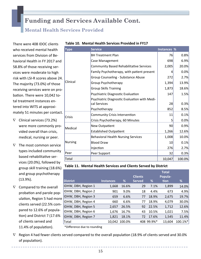### **Mental Health Services Provided**

There were 408 IDOC clients who received mental health services from Division of Behavioral Health in FY 2017 and 58.8% of those receiving services were moderate to high risk with LSI-R scores above 24. The majority (73.0%) of those receiving services were on probation. There were 10,042 total treatment instances entered into WITS at approximately 51 minutes per contact.

- $\nabla$  Clinical services (73.2%) were more commonly provided overall than crisis, medical, nursing or peer.
- $\nabla$  The most common service types included community based rehabilitative services (20.0%), followed by group skill training (18.6%) and group psychotherapy (13.9%).
- $\nabla$  Compared to the overall probation and parole population, Region 5 had more clients served (22.5% compared to 12.6% of population) and District 7 (17.6% of clients served and 11.4% of population).

| <b>Type</b>    | <b>Service</b>                                               | Instances %     |        |
|----------------|--------------------------------------------------------------|-----------------|--------|
|                | <b>BH Treatment Plan</b>                                     | 76              | 0.8%   |
|                | Case Management                                              | 698             | 6.9%   |
|                | <b>Community Based Rehabilitative Services</b>               | 2,005           | 20.0%  |
|                | Family Psychotherapy, with patient present                   | 4               | 0.0%   |
|                | Group Counseling - Substance Abuse                           | 272             | 2.7%   |
| Clinical       | Group Psychotherapy                                          | 1,394           | 13.9%  |
|                | <b>Group Skills Training</b>                                 | 1,873           | 18.6%  |
|                | Psychiatric Diagnostic Evaluation                            | 147             | 1.5%   |
|                | Psychiatric Diagnostic Evaluation with Medi-<br>cal Services | 28              | 0.3%   |
|                | Psychotherapy                                                | 852             | 8.5%   |
| Crisis         | Community Crisis Intervention                                | 11              | 0.1%   |
|                | Crisis Psychotherapy, 60 Minutes                             | 5               | 0.0%   |
| Medical        | New Outpatient                                               | 90 <sub>0</sub> | 0.9%   |
|                | <b>Established Outpatient</b>                                | 1,266           | 12.6%  |
|                | <b>Behavioral Health Nursing Services</b>                    | 1,008           | 10.0%  |
| <b>Nursing</b> | <b>Blood Draw</b>                                            | 10              | 0.1%   |
|                | Injection                                                    | 276             | 2.7%   |
| Peer           | Peer Support                                                 | 32              | 0.3%   |
| Total          |                                                              | 10,047          | 100.0% |

#### **Table 10. Mental Health Services Provided in FY17**

#### **Table 11. Mental Health Services and Clients Served by District**

|                     |                  |               | <b>Clients</b> |            | <b>Total</b><br>Popula- |         |
|---------------------|------------------|---------------|----------------|------------|-------------------------|---------|
| <b>District</b>     | <b>Instances</b> | %             | <b>Served</b>  | %          | tion                    | %       |
| IDHW, DBH, Region 1 | 1,668            | 16.6%         | 29             | 7.1%       | 1,899                   | 14.0%   |
| IDHW, DBH, Region 2 | 901              | 9.0%          | 18             | 4.4%       | 673                     | 4.9%    |
| IDHW, DBH, Region 3 | 659              | 6.6%          | 77             | 18.9%      | 2,675                   | 19.7%   |
| IDHW, DBH, Region 4 | 660              | 6.6%          | 77             | 18.9%      | 4,079                   | 30.0%   |
| IDHW, DBH, Region 5 | 2,657            | 26.5%         | 92             | 22.5%      | 1,712                   | 12.6%   |
| IDHW, DBH, Region 6 | 1,676            | 16.7%         | 43             | 10.5%      | 1,021                   | 7.5%    |
| IDHW, DBH, Region 7 | 1,821            | 18.1%         | 72             | 17.6%      | 1,545                   | 11.4%   |
| <b>Total</b>        |                  | 10.042 100.0% |                | 408 99.9%* | 13,604                  | 100.1%* |
|                     |                  |               |                |            |                         |         |

\*Difference due to rounding

 $\nabla$  Region 4 had fewer clients served compared to the overall population (18.9% of clients served and 30.0% of population).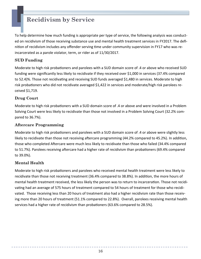# **Recidivism by Service**

To help determine how much funding is appropriate per type of service, the following analysis was conducted on recidivism of those receiving substance use and mental health treatment services in FY2017. The definition of recidivism includes any offender serving time under community supervision in FY17 who was reincarcerated as a parole violator, term, or rider as of 11/30/2017.

#### **SUD Funding**

Moderate to high risk probationers and parolees with a SUD domain score of .4 or above who received SUD funding were significantly less likely to recidivate if they received over \$1,000 in services (37.4% compared to 52.4)%. Those not recidivating and receiving SUD funds averaged \$1,480 in services. Moderate to high risk probationers who did not recidivate averaged \$1,422 in services and moderate/high risk parolees received \$1,719.

#### **Drug Court**

Moderate to high risk probationers with a SUD domain score of .4 or above and were involved in a Problem Solving Court were less likely to recidivate than those not involved in a Problem Solving Court (32.2% compared to 36.7%).

#### **Aftercare Programming**

Moderate to high risk probationers and parolees with a SUD domain score of .4 or above were slightly less likely to recidivate than those not receiving aftercare programming (44.2% compared to 45.2%). In addition, those who completed Aftercare were much less likely to recidivate than those who failed (34.4% compared to 51.7%). Parolees receiving aftercare had a higher rate of recidivism than probationers (69.4% compared to 39.0%).

#### **Mental Health**

Moderate to high risk probationers and parolees who received mental health treatment were less likely to recidivate than those not receiving treatment (36.4% compared to 38.8%). In addition, the more hours of mental health treatment received, the less likely the person was to return to incarceration. Those not recidivating had an average of 575 hours of treatment compared to 54 hours of treatment for those who recidivated. Those receiving less than 20 hours of treatment also had a higher recidivism rate than those receiving more than 20 hours of treatment (51.1% compared to 22.8%). Overall, parolees receiving mental health services had a higher rate of recidivism than probationers (63.6% compared to 28.5%).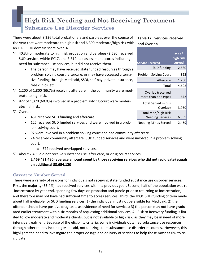# **High Risk Needing and Not Receiving Treatment Substance Use Disorder Services**

There were about 8,236 total probationers and parolees over the course of the year that were moderate to high risk and 6,399 moderate/high risk with an LSI-R SUD domain score over .4.

- $\nabla$  40.3% of moderate to high risk probation and parolees (2,580) received SUD services within FY17, and 3,819 had assessment scores indicating need for substance use services, but did not receive them.
	- The person may have received state funded resources through a problem solving court, aftercare, or may have accessed alternative funding through Medicaid, SSDI, self-pay, private insurance, free clinics, etc.
- $\nabla$  1,200 of 1,800 (66.7%) receiving aftercare in the community were moderate to high risk.
- $\nabla$  822 of 1,370 (60.0%) involved in a problem solving court were moderate/high risk.
- $\nabla$  Overlap:
	- 431 received SUD funding and aftercare.
	- 125 received SUD funded services and were involved in a problem solving court.
	- 92 were involved in a problem solving court and had community aftercare.
	- 24 received community aftercare, SUD funded services and were involved in a problem solving court.
		- $\Rightarrow$  672 received overlapped services.
- $\nabla$  About 2,469 did not receive substance use, after care, or drug court services.
	- **2,469 \*\$1,480 (average amount spent by those receiving services who did not recidivate) equals an addiƟonal \$3,654,120**

#### **Caveat to Number Served:**

There were a variety of reasons for individuals not receiving state funded substance use disorder services. First, the majority (83.4%) had received services within a previous year. Second, half of the population was re -incarcerated by year end, spending few days on probation and parole prior to returning to incarceration, and therefore may not have had sufficient time to access services. Third, the IDOC SUD funding criteria made about half ineligible for SUD funding services: 1) the individual must not be eligible for Medicaid; 2) the offender should have positive drug tests as evidence of need for services; 3) the person may not have graduated earlier treatment within six months of requesting additional services; 4) Risk to Recovery funding is limited to low moderate and moderate clients, but is not available to high risk, as they may be in need of more intensive treatment. Because of the eligibility criteria, some individuals obtained substance use resources through other means including Medicaid, not utilizing state substance use disorder resources. However, this highlights the need to investigate the proper dosage and delivery of services to help those most at risk to recidivate.

#### **Table 12. Services Received and Overlap**

| <b>Service Received</b>                               | Mod/<br>high risk<br>served |
|-------------------------------------------------------|-----------------------------|
| <b>SUD funding</b>                                    | 2,580                       |
| Problem Solving Court                                 | 822                         |
| Aftercare                                             | 1,200                       |
| Total                                                 | 4,602                       |
| Overlap (received<br>more than one type)              | 672                         |
| <b>Total Served minus</b><br>Overlap)                 | 3,930                       |
| <b>Total Mod/high Risk</b><br><b>Needing Services</b> | 6,399                       |
| <b>Needing Minus Served</b>                           | 2,46                        |